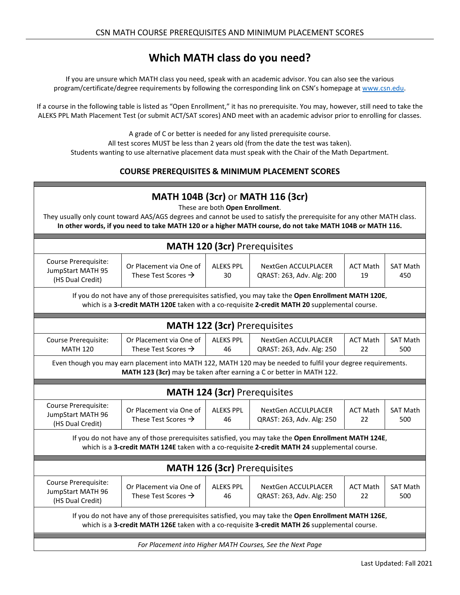## **Which MATH class do you need?**

If you are unsure which MATH class you need, speak with an academic advisor. You can also see the various program/certificate/degree requirements by following the corresponding link on CSN's homepage a[t www.csn.edu.](http://www.csn.edu/)

If a course in the following table is listed as "Open Enrollment," it has no prerequisite. You may, however, still need to take the ALEKS PPL Math Placement Test (or submit ACT/SAT scores) AND meet with an academic advisor prior to enrolling for classes.

A grade of C or better is needed for any listed prerequisite course.

All test scores MUST be less than 2 years old (from the date the test was taken).

Students wanting to use alternative placement data must speak with the Chair of the Math Department.

## **COURSE PREREQUISITES & MINIMUM PLACEMENT SCORES**

| <b>MATH 104B (3cr) or MATH 116 (3cr)</b><br>These are both Open Enrollment.<br>They usually only count toward AAS/AGS degrees and cannot be used to satisfy the prerequisite for any other MATH class.<br>In other words, if you need to take MATH 120 or a higher MATH course, do not take MATH 104B or MATH 116. |                                                            |                        |                                                  |                       |                        |  |  |  |  |
|--------------------------------------------------------------------------------------------------------------------------------------------------------------------------------------------------------------------------------------------------------------------------------------------------------------------|------------------------------------------------------------|------------------------|--------------------------------------------------|-----------------------|------------------------|--|--|--|--|
| <b>MATH 120 (3cr) Prerequisites</b>                                                                                                                                                                                                                                                                                |                                                            |                        |                                                  |                       |                        |  |  |  |  |
| Course Prerequisite:<br>JumpStart MATH 95<br>(HS Dual Credit)                                                                                                                                                                                                                                                      | Or Placement via One of<br>These Test Scores $\rightarrow$ | <b>ALEKS PPL</b><br>30 | NextGen ACCULPLACER<br>QRAST: 263, Adv. Alg: 200 | <b>ACT Math</b><br>19 | <b>SAT Math</b><br>450 |  |  |  |  |
| If you do not have any of those prerequisites satisfied, you may take the Open Enrollment MATH 120E,<br>which is a 3-credit MATH 120E taken with a co-requisite 2-credit MATH 20 supplemental course.                                                                                                              |                                                            |                        |                                                  |                       |                        |  |  |  |  |
| <b>MATH 122 (3cr) Prerequisites</b>                                                                                                                                                                                                                                                                                |                                                            |                        |                                                  |                       |                        |  |  |  |  |
| Course Prerequisite:<br><b>MATH 120</b>                                                                                                                                                                                                                                                                            | Or Placement via One of<br>These Test Scores $\rightarrow$ | <b>ALEKS PPL</b><br>46 | NextGen ACCULPLACER<br>QRAST: 263, Adv. Alg: 250 | <b>ACT Math</b><br>22 | <b>SAT Math</b><br>500 |  |  |  |  |
| Even though you may earn placement into MATH 122, MATH 120 may be needed to fulfil your degree requirements.<br>MATH 123 (3cr) may be taken after earning a C or better in MATH 122.                                                                                                                               |                                                            |                        |                                                  |                       |                        |  |  |  |  |
| <b>MATH 124 (3cr) Prerequisites</b>                                                                                                                                                                                                                                                                                |                                                            |                        |                                                  |                       |                        |  |  |  |  |
| Course Prerequisite:<br>JumpStart MATH 96<br>(HS Dual Credit)                                                                                                                                                                                                                                                      | Or Placement via One of<br>These Test Scores $\rightarrow$ | <b>ALEKS PPL</b><br>46 | NextGen ACCULPLACER<br>QRAST: 263, Adv. Alg: 250 | <b>ACT Math</b><br>22 | <b>SAT Math</b><br>500 |  |  |  |  |
| If you do not have any of those prerequisites satisfied, you may take the Open Enrollment MATH 124E,<br>which is a 3-credit MATH 124E taken with a co-requisite 2-credit MATH 24 supplemental course.                                                                                                              |                                                            |                        |                                                  |                       |                        |  |  |  |  |
| <b>MATH 126 (3cr) Prerequisites</b>                                                                                                                                                                                                                                                                                |                                                            |                        |                                                  |                       |                        |  |  |  |  |
| Course Prerequisite:<br>JumpStart MATH 96<br>(HS Dual Credit)                                                                                                                                                                                                                                                      | Or Placement via One of<br>These Test Scores $\rightarrow$ | <b>ALEKS PPL</b><br>46 | NextGen ACCULPLACER<br>QRAST: 263, Adv. Alg: 250 | <b>ACT Math</b><br>22 | <b>SAT Math</b><br>500 |  |  |  |  |
| If you do not have any of those prerequisites satisfied, you may take the Open Enrollment MATH 126E,<br>which is a 3-credit MATH 126E taken with a co-requisite 3-credit MATH 26 supplemental course.                                                                                                              |                                                            |                        |                                                  |                       |                        |  |  |  |  |
| For Placement into Higher MATH Courses, See the Next Page                                                                                                                                                                                                                                                          |                                                            |                        |                                                  |                       |                        |  |  |  |  |